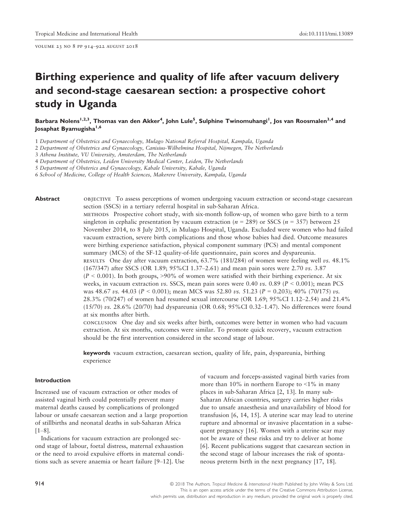volume 23 no 8 pp 914–922 august 2018

# Birthing experience and quality of life after vacuum delivery and second-stage caesarean section: a prospective cohort study in Uganda

Barbara Nolens<sup>1,2,3</sup>, Thomas van den Akker<sup>4</sup>, John Lule<sup>5</sup>, Sulphine Twinomuhangi<sup>1</sup>, Jos van Roosmalen<sup>3,4</sup> and Josaphat Byamugisha<sup>1,6</sup>

1 Department of Obstetrics and Gynaecology, Mulago National Referral Hospital, Kampala, Uganda

3 Athena Institute, VU University, Amsterdam, The Netherlands

4 Department of Obstetrics, Leiden University Medical Center, Leiden, The Netherlands

5 Department of Obsterics and Gynaecology, Kabale University, Kabale, Uganda

6 School of Medicine, College of Health Sciences, Makerere University, Kampala, Uganda

Abstract objective To assess perceptions of women undergoing vacuum extraction or second-stage caesarean section (SSCS) in a tertiary referral hospital in sub-Saharan Africa.

methods Prospective cohort study, with six-month follow-up, of women who gave birth to a term singleton in cephalic presentation by vacuum extraction ( $n = 289$ ) or SSCS ( $n = 357$ ) between 25 November 2014, to 8 July 2015, in Mulago Hospital, Uganda. Excluded were women who had failed vacuum extraction, severe birth complications and those whose babies had died. Outcome measures were birthing experience satisfaction, physical component summary (PCS) and mental component summary (MCS) of the SF-12 quality-of-life questionnaire, pain scores and dyspareunia. RESULTS One day after vacuum extraction,  $63.7\%$  (181/284) of women were feeling well vs. 48.1% (167/347) after SSCS (OR 1.89; 95%CI 1.37–2.61) and mean pain sores were 2.70 vs. 3.87  $(P < 0.001)$ . In both groups, >90% of women were satisfied with their birthing experience. At six weeks, in vacuum extraction vs. SSCS, mean pain sores were 0.40 vs. 0.89 ( $P < 0.001$ ); mean PCS was 48.67 vs. 44.03 ( $P < 0.001$ ); mean MCS was 52.80 vs. 51.23 ( $P = 0.203$ ); 40% (70/175) vs. 28.3% (70/247) of women had resumed sexual intercourse (OR 1.69; 95%CI 1.12–2.54) and 21.4% (15/70) vs. 28.6% (20/70) had dyspareunia (OR 0.68; 95%CI 0.32–1.47). No differences were found at six months after birth.

conclusion One day and six weeks after birth, outcomes were better in women who had vacuum extraction. At six months, outcomes were similar. To promote quick recovery, vacuum extraction should be the first intervention considered in the second stage of labour.

keywords vacuum extraction, caesarean section, quality of life, pain, dyspareunia, birthing experience

#### Introduction

Increased use of vacuum extraction or other modes of assisted vaginal birth could potentially prevent many maternal deaths caused by complications of prolonged labour or unsafe caesarean section and a large proportion of stillbirths and neonatal deaths in sub-Saharan Africa  $[1-8]$ .

Indications for vacuum extraction are prolonged second stage of labour, foetal distress, maternal exhaustion or the need to avoid expulsive efforts in maternal conditions such as severe anaemia or heart failure [9–12]. Use of vacuum and forceps-assisted vaginal birth varies from more than 10% in northern Europe to  $\leq 1\%$  in many places in sub-Saharan Africa [2, 13]. In many sub-Saharan African countries, surgery carries higher risks due to unsafe anaesthesia and unavailability of blood for transfusion [6, 14, 15]. A uterine scar may lead to uterine rupture and abnormal or invasive placentation in a subsequent pregnancy [16]. Women with a uterine scar may not be aware of these risks and try to deliver at home [6]. Recent publications suggest that caesarean section in the second stage of labour increases the risk of spontaneous preterm birth in the next pregnancy [17, 18].

<sup>2</sup> Department of Obstetrics and Gynaecology, Canisius-Wilhelmina Hospital, Nijmegen, The Netherlands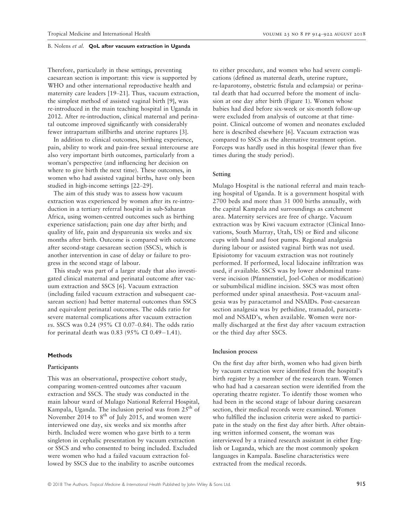Therefore, particularly in these settings, preventing caesarean section is important: this view is supported by WHO and other international reproductive health and maternity care leaders [19–21]. Thus, vacuum extraction, the simplest method of assisted vaginal birth [9], was re-introduced in the main teaching hospital in Uganda in 2012. After re-introduction, clinical maternal and perinatal outcome improved significantly with considerably fewer intrapartum stillbirths and uterine ruptures [3].

In addition to clinical outcomes, birthing experience, pain, ability to work and pain-free sexual intercourse are also very important birth outcomes, particularly from a woman's perspective (and influencing her decision on where to give birth the next time). These outcomes, in women who had assisted vaginal births, have only been studied in high-income settings [22–29].

The aim of this study was to assess how vacuum extraction was experienced by women after its re-introduction in a tertiary referral hospital in sub-Saharan Africa, using women-centred outcomes such as birthing experience satisfaction; pain one day after birth; and quality of life, pain and dyspareunia six weeks and six months after birth. Outcome is compared with outcome after second-stage caesarean section (SSCS), which is another intervention in case of delay or failure to progress in the second stage of labour.

This study was part of a larger study that also investigated clinical maternal and perinatal outcome after vacuum extraction and SSCS [6]. Vacuum extraction (including failed vacuum extraction and subsequent caesarean section) had better maternal outcomes than SSCS and equivalent perinatal outcomes. The odds ratio for severe maternal complications after vacuum extraction vs. SSCS was 0.24 (95% CI 0.07–0.84). The odds ratio for perinatal death was  $0.83$  (95% CI 0.49-1.41).

# Methods

## Participants

This was an observational, prospective cohort study, comparing women-centred outcomes after vacuum extraction and SSCS. The study was conducted in the main labour ward of Mulago National Referral Hospital, Kampala, Uganda. The inclusion period was from  $25<sup>th</sup>$  of November 2014 to  $8<sup>th</sup>$  of July 2015, and women were interviewed one day, six weeks and six months after birth. Included were women who gave birth to a term singleton in cephalic presentation by vacuum extraction or SSCS and who consented to being included. Excluded were women who had a failed vacuum extraction followed by SSCS due to the inability to ascribe outcomes

to either procedure, and women who had severe complications (defined as maternal death, uterine rupture, re-laparotomy, obstetric fistula and eclampsia) or perinatal death that had occurred before the moment of inclusion at one day after birth (Figure 1). Women whose babies had died before six-week or six-month follow-up were excluded from analysis of outcome at that timepoint. Clinical outcome of women and neonates excluded here is described elsewhere [6]. Vacuum extraction was compared to SSCS as the alternative treatment option. Forceps was hardly used in this hospital (fewer than five times during the study period).

# Setting

Mulago Hospital is the national referral and main teaching hospital of Uganda. It is a government hospital with 2700 beds and more than 31 000 births annually, with the capital Kampala and surroundings as catchment area. Maternity services are free of charge. Vacuum extraction was by Kiwi vacuum extractor (Clinical Innovations, South Murray, Utah, US) or Bird and silicone cups with hand and foot pumps. Regional analgesia during labour or assisted vaginal birth was not used. Episiotomy for vacuum extraction was not routinely performed. If performed, local lidocaine infiltration was used, if available. SSCS was by lower abdominal transverse incision (Pfannenstiel, Joel-Cohen or modification) or subumbilical midline incision. SSCS was most often performed under spinal anaesthesia. Post-vacuum analgesia was by paracetamol and NSAIDs. Post-caesarean section analgesia was by pethidine, tramadol, paracetamol and NSAID's, when available. Women were normally discharged at the first day after vacuum extraction or the third day after SSCS.

# Inclusion process

On the first day after birth, women who had given birth by vacuum extraction were identified from the hospital's birth register by a member of the research team. Women who had had a caesarean section were identified from the operating theatre register. To identify those women who had been in the second stage of labour during caesarean section, their medical records were examined. Women who fulfilled the inclusion criteria were asked to participate in the study on the first day after birth. After obtaining written informed consent, the woman was interviewed by a trained research assistant in either English or Luganda, which are the most commonly spoken languages in Kampala. Baseline characteristics were extracted from the medical records.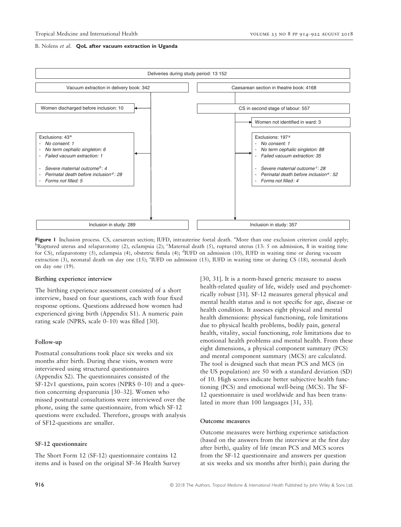

**Figure 1** Inclusion process. CS, caesarean section; IUFD, intrauterine foetal death. <sup>a</sup>More than one exclusion criterion could apply;  $b_{\text{Runtured}}$  is until a time time of relaxations (2), estimately (5), supposed that (5 Ruptured uterus and relaparotomy (2), eclampsia (2); "Maternal death (5), ruptured uterus (13: 5 on admission, 8 in waiting time for CS), relaparotomy (5), eclampsia (4), obstetric fistula (4); <sup>d</sup>IUFD on admission (10), IUFD in waiting time or during vacuum extraction (3), neonatal death on day one (15); "IUFD on admission (15), IUFD in waiting time or during CS (18), neonatal death on day one (19).

#### Birthing experience interview

The birthing experience assessment consisted of a short interview, based on four questions, each with four fixed response options. Questions addressed how women had experienced giving birth (Appendix S1). A numeric pain rating scale (NPRS, scale 0–10) was filled [30].

#### Follow-up

Postnatal consultations took place six weeks and six months after birth. During these visits, women were interviewed using structured questionnaires (Appendix S2). The questionnaires consisted of the  $SF-12v1$  questions, pain scores (NPRS 0–10) and a question concerning dyspareunia [30–32]. Women who missed postnatal consultations were interviewed over the phone, using the same questionnaire, from which SF-12 questions were excluded. Therefore, groups with analysis of SF12-questions are smaller.

# SF-12 questionnaire

The Short Form 12 (SF-12) questionnaire contains 12 items and is based on the original SF-36 Health Survey [30, 31]. It is a norm-based generic measure to assess health-related quality of life, widely used and psychometrically robust [31]. SF-12 measures general physical and mental health status and is not specific for age, disease or health condition. It assesses eight physical and mental health dimensions: physical functioning, role limitations due to physical health problems, bodily pain, general health, vitality, social functioning, role limitations due to emotional health problems and mental health. From these eight dimensions, a physical component summary (PCS) and mental component summary (MCS) are calculated. The tool is designed such that mean PCS and MCS (in the US population) are 50 with a standard deviation (SD) of 10. High scores indicate better subjective health functioning (PCS) and emotional well-being (MCS). The SF-12 questionnaire is used worldwide and has been translated in more than 100 languages [31, 33].

#### Outcome measures

Outcome measures were birthing experience satisfaction (based on the answers from the interview at the first day after birth), quality of life (mean PCS and MCS scores from the SF-12 questionnaire and answers per question at six weeks and six months after birth); pain during the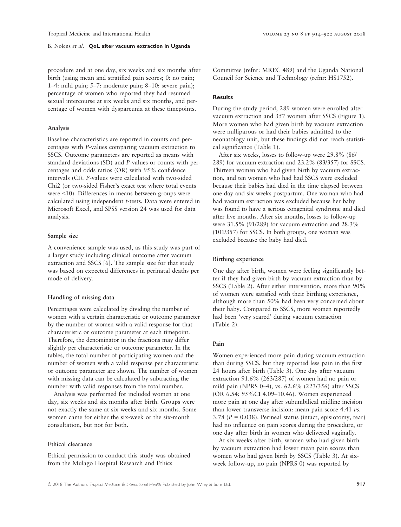procedure and at one day, six weeks and six months after birth (using mean and stratified pain scores; 0: no pain; 1–4: mild pain; 5–7: moderate pain; 8–10: severe pain); percentage of women who reported they had resumed sexual intercourse at six weeks and six months, and percentage of women with dyspareunia at these timepoints.

# Analysis

Baseline characteristics are reported in counts and percentages with P-values comparing vacuum extraction to SSCS. Outcome parameters are reported as means with standard deviations (SD) and P-values or counts with percentages and odds ratios (OR) with 95% confidence intervals (CI). P-values were calculated with two-sided Chi2 (or two-sided Fisher's exact test where total events were <10). Differences in means between groups were calculated using independent t-tests. Data were entered in Microsoft Excel, and SPSS version 24 was used for data analysis.

# Sample size

A convenience sample was used, as this study was part of a larger study including clinical outcome after vacuum extraction and SSCS [6]. The sample size for that study was based on expected differences in perinatal deaths per mode of delivery.

#### Handling of missing data

Percentages were calculated by dividing the number of women with a certain characteristic or outcome parameter by the number of women with a valid response for that characteristic or outcome parameter at each timepoint. Therefore, the denominator in the fractions may differ slightly per characteristic or outcome parameter. In the tables, the total number of participating women and the number of women with a valid response per characteristic or outcome parameter are shown. The number of women with missing data can be calculated by subtracting the number with valid responses from the total number.

Analysis was performed for included women at one day, six weeks and six months after birth. Groups were not exactly the same at six weeks and six months. Some women came for either the six-week or the six-month consultation, but not for both.

#### Ethical clearance

Ethical permission to conduct this study was obtained from the Mulago Hospital Research and Ethics

Committee (refnr: MREC 489) and the Uganda National Council for Science and Technology (refnr: HS1752).

#### Results

During the study period, 289 women were enrolled after vacuum extraction and 357 women after SSCS (Figure 1). More women who had given birth by vacuum extraction were nulliparous or had their babies admitted to the neonatology unit, but these findings did not reach statistical significance (Table 1).

After six weeks, losses to follow-up were 29.8% (86/ 289) for vacuum extraction and 23.2% (83/357) for SSCS. Thirteen women who had given birth by vacuum extraction, and ten women who had had SSCS were excluded because their babies had died in the time elapsed between one day and six weeks postpartum. One woman who had had vacuum extraction was excluded because her baby was found to have a serious congenital syndrome and died after five months. After six months, losses to follow-up were 31.5% (91/289) for vacuum extraction and 28.3% (101/357) for SSCS. In both groups, one woman was excluded because the baby had died.

#### Birthing experience

One day after birth, women were feeling significantly better if they had given birth by vacuum extraction than by SSCS (Table 2). After either intervention, more than 90% of women were satisfied with their birthing experience, although more than 50% had been very concerned about their baby. Compared to SSCS, more women reportedly had been 'very scared' during vacuum extraction (Table 2).

# Pain

Women experienced more pain during vacuum extraction than during SSCS, but they reported less pain in the first 24 hours after birth (Table 3). One day after vacuum extraction 91.6% (263/287) of women had no pain or mild pain (NPRS 0–4), vs. 62.6% (223/356) after SSCS (OR 6.54; 95%CI 4.09–10.46). Women experienced more pain at one day after subumbilical midline incision than lower transverse incision: mean pain score  $4.41$  vs. 3.78 ( $P = 0.038$ ). Perineal status (intact, episiotomy, tear) had no influence on pain scores during the procedure, or one day after birth in women who delivered vaginally.

At six weeks after birth, women who had given birth by vacuum extraction had lower mean pain scores than women who had given birth by SSCS (Table 3). At sixweek follow-up, no pain (NPRS 0) was reported by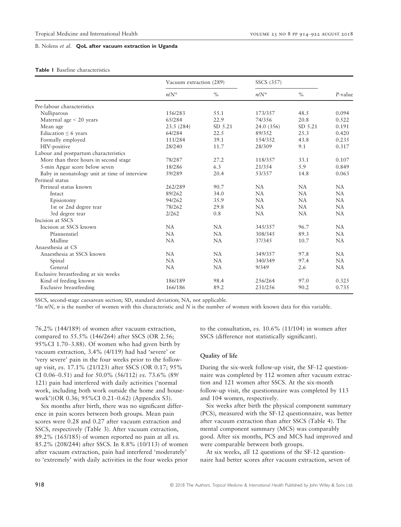#### Table 1 Baseline characteristics

|                                               | Vacuum extraction (289) |               | SSCS (357) |               |            |
|-----------------------------------------------|-------------------------|---------------|------------|---------------|------------|
|                                               | $n/N^*$                 | $\frac{0}{0}$ | $n/N^*$    | $\frac{0}{0}$ | $P$ -value |
| Pre-labour characteristics                    |                         |               |            |               |            |
| Nulliparous                                   | 156/283                 | 55.1          | 173/357    | 48.5          | 0.094      |
| Maternal age $<$ 20 years                     | 65/284                  | 22.9          | 74/356     | 20.8          | 0.522      |
| Mean age                                      | 23.5 (284)              | SD 5.21       | 24.0 (356) | SD 5.21       | 0.191      |
| Education $\leq 6$ years                      | 64/284                  | 22.5          | 89/352     | 25.3          | 0.420      |
| Formally employed                             | 111/284                 | 39.1          | 154/352    | 43.8          | 0.235      |
| HIV-positive                                  | 28/240                  | 11.7          | 28/309     | 9.1           | 0.317      |
| Labour and postpartum characteristics         |                         |               |            |               |            |
| More than three hours in second stage         | 78/287                  | 27.2          | 118/357    | 33.1          | 0.107      |
| 5-min Apgar score below seven                 | 18/286                  | 6.3           | 21/354     | 5.9           | 0.849      |
| Baby in neonatology unit at time of interview | 59/289                  | 20.4          | 53/357     | 14.8          | 0.063      |
| Perineal status                               |                         |               |            |               |            |
| Perineal status known                         | 262/289                 | 90.7          | <b>NA</b>  | <b>NA</b>     | <b>NA</b>  |
| Intact                                        | 89/262                  | 34.0          | <b>NA</b>  | NA            | NA         |
| Episiotomy                                    | 94/262                  | 35.9          | <b>NA</b>  | NA            | NA         |
| 1st or 2nd degree tear                        | 78/262                  | 29.8          | NA         | NA            | NA         |
| 3rd degree tear                               | 2/262                   | 0.8           | <b>NA</b>  | NA            | NA         |
| Incision at SSCS                              |                         |               |            |               |            |
| Incision at SSCS known                        | <b>NA</b>               | NA            | 345/357    | 96.7          | NA         |
| Pfannenstiel                                  | <b>NA</b>               | NA            | 308/345    | 89.3          | NA         |
| Midline                                       | NA                      | NA            | 37/345     | 10.7          | NA         |
| Anaesthesia at CS                             |                         |               |            |               |            |
| Anaesthesia at SSCS known                     | <b>NA</b>               | NA            | 349/357    | 97.8          | NA         |
| Spinal                                        | NA                      | NA            | 340/349    | 97.4          | NA         |
| General                                       | NA                      | NA            | 9/349      | 2.6           | NA         |
| Exclusive breastfeeding at six weeks          |                         |               |            |               |            |
| Kind of feeding known                         | 186/189                 | 98.4          | 256/264    | 97.0          | 0.325      |
| <b>Exclusive breastfeeding</b>                | 166/186                 | 89.2          | 231/256    | 90.2          | 0.735      |

SSCS, second-stage caesarean section; SD, standard deviation; NA, not applicable.

 $*$ In  $n/N$ ,  $n$  is the number of women with this characteristic and N is the number of women with known data for this variable.

76.2% (144/189) of women after vacuum extraction, compared to 55.5% (146/264) after SSCS (OR 2.56; 95%CI 1.70–3.88). Of women who had given birth by vacuum extraction, 3.4% (4/119) had had 'severe' or 'very severe' pain in the four weeks prior to the followup visit, vs. 17.1% (21/123) after SSCS (OR 0.17; 95% CI 0.06–0.51) and for  $50.0\%$  (56/112) vs. 73.6% (89/ 121) pain had interfered with daily activities ('normal work, including both work outside the home and housework')(OR 0.36; 95%CI 0.21–0.62) (Appendix S3).

Six months after birth, there was no significant difference in pain scores between both groups. Mean pain scores were 0.28 and 0.27 after vacuum extraction and SSCS, respectively (Table 3). After vacuum extraction, 89.2% (165/185) of women reported no pain at all  $\nu$ s. 85.2% (208/244) after SSCS. In 8.8% (10/113) of women after vacuum extraction, pain had interfered 'moderately' to 'extremely' with daily activities in the four weeks prior to the consultation,  $\nu$ s. 10.6% (11/104) in women after SSCS (difference not statistically significant).

#### Quality of life

During the six-week follow-up visit, the SF-12 questionnaire was completed by 112 women after vacuum extraction and 121 women after SSCS. At the six-month follow-up visit, the questionnaire was completed by 113 and 104 women, respectively.

Six weeks after birth the physical component summary (PCS), measured with the SF-12 questionnaire, was better after vacuum extraction than after SSCS (Table 4). The mental component summary (MCS) was comparably good. After six months, PCS and MCS had improved and were comparable between both groups.

At six weeks, all 12 questions of the SF-12 questionnaire had better scores after vacuum extraction, seven of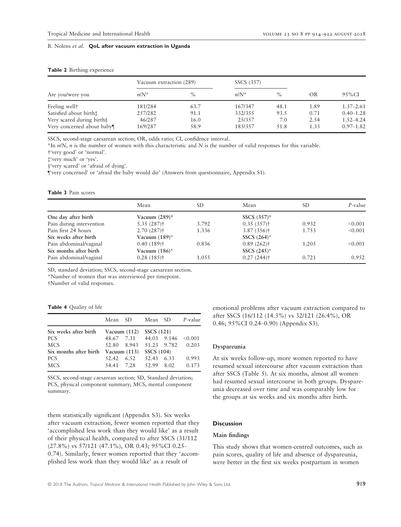#### Table 2 Birthing experience

| Are you/were you          | Vacuum extraction (289) |               | SSCS (357) |               |      |               |
|---------------------------|-------------------------|---------------|------------|---------------|------|---------------|
|                           | $n/N^*$                 | $\frac{0}{0}$ | $n/N^*$    | $\frac{0}{0}$ | OR.  | 95%CI         |
| Feeling well <sup>†</sup> | 181/284                 | 63.7          | 167/347    | 48.1          | 1.89 | $1.37 - 2.61$ |
| Satisfied about birtht    | 257/282                 | 91.1          | 332/355    | 93.5          | 0.71 | $0.40 - 1.28$ |
| Very scared during birth§ | 46/287                  | 16.0          | 25/357     | 7.0           | 2.54 | $1,52-4,24$   |
| Very concerned about baby | 169/287                 | 58.9          | 185/357    | 51.8          | 1.33 | $0.97 - 1.82$ |

SSCS, second-stage caesarean section; OR, odds ratio; CI, confidence interval.

 $*$ In  $n/N$ , *n* is the number of women with this characteristic and N is the number of valid responses for this variable.

†'very good' or 'normal'.

‡'very much' or 'yes'.

§'very scared' or 'afraid of dying'.

¶'very concerned' or 'afraid the baby would die' (Answers from questionnaire, Appendix S1).

#### Table 3 Pain scores

|                          | Mean             | SD    | Mean             | SD.   | $P$ -value |
|--------------------------|------------------|-------|------------------|-------|------------|
| One day after birth      | Vacuum $(289)^*$ |       | SSCS $(357)^{*}$ |       |            |
| Pain during intervention | $5.35(287)$ †    | 3.792 | $0.35(357)$ †    | 0.932 | < 0.001    |
| Pain first 24 hours      | $2.70(287)$ †    | 1.336 | $3.87(356)$ †    | 1.753 | < 0.001    |
| Six weeks after birth    | Vacuum $(189)^*$ |       | SSCS $(264)^*$   |       |            |
| Pain abdominal/vaginal   | $0.40(189)$ †    | 0.836 | $0.89(262)$ †    | 1.205 | < 0.001    |
| Six months after birth   | Vacuum $(186)^*$ |       | SSCS $(245)^*$   |       |            |
| Pain abdominal/vaginal   | $0.28(185)$ †    | 1.055 | $0.27(244)$ †    | 0.721 | 0.952      |

SD, standard deviation; SSCS, second-stage caesarean section.

\*Number of women that was interviewed per timepoint.

†Number of valid responses.

#### Table 4 Quality of life

|                                               | Mean SD |                         | Mean SD           |      | P-value |
|-----------------------------------------------|---------|-------------------------|-------------------|------|---------|
| Six weeks after birth Vacuum (112) SSCS (121) |         |                         |                   |      |         |
| <b>PCS</b>                                    |         | 48.67 7.31 44.03 9.146  |                   |      | < 0.001 |
| <b>MCS</b>                                    |         | 52.80 8.943 51.23 9.782 |                   |      | 0.203   |
| Six months after birth Vacuum (113)           |         |                         | <b>SSCS</b> (104) |      |         |
| <b>PCS</b>                                    |         | 52.42 6.52 52.43 6.33   |                   |      | 0.993   |
| <b>MCS</b>                                    |         | 54.41 7.28              | 52.99             | 8.02 | 0.173   |
|                                               |         |                         |                   |      |         |

SSCS, second-stage caesarean section; SD, Standard deviation; PCS, physical component summary; MCS, mental component summary.

them statistically significant (Appendix S3). Six weeks after vacuum extraction, fewer women reported that they 'accomplished less work than they would like' as a result of their physical health, compared to after SSCS (31/112 (27.8%) vs 57/121 (47.1%), OR 0.43; 95%CI 0.25– 0.74). Similarly, fewer women reported that they 'accomplished less work than they would like' as a result of

emotional problems after vacuum extraction compared to after SSCS (16/112 (14.3%) vs 32/121 (26.4%), OR 0.46; 95%CI 0.24–0.90) (Appendix S3).

#### Dyspareunia

At six weeks follow-up, more women reported to have resumed sexual intercourse after vacuum extraction than after SSCS (Table 5). At six months, almost all women had resumed sexual intercourse in both groups. Dyspareunia decreased over time and was comparably low for the groups at six weeks and six months after birth.

# **Discussion**

# Main findings

This study shows that women-centred outcomes, such as pain scores, quality of life and absence of dyspareunia, were better in the first six weeks postpartum in women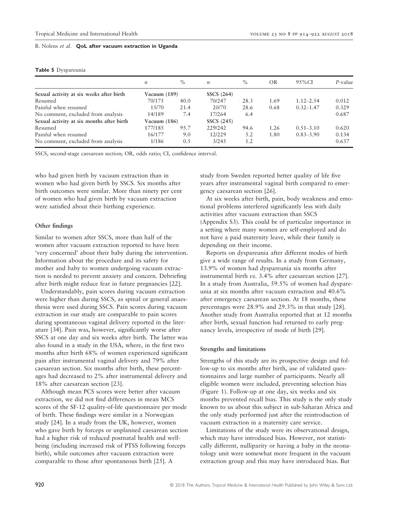# Table 5 Dyspareunia

| P-value                |
|------------------------|
|                        |
| 0.012<br>$1.12 - 2.54$ |
| 0.329<br>$0.32 - 1.47$ |
| 0.687                  |
|                        |
| 0.620<br>$0.51 - 3.10$ |
| $0.83 - 3.90$<br>0.134 |
| 0.637                  |
|                        |

SSCS, second-stage caesarean section; OR, odds ratio; CI, confidence interval.

who had given birth by vacuum extraction than in women who had given birth by SSCS. Six months after birth outcomes were similar. More than ninety per cent of women who had given birth by vacuum extraction were satisfied about their birthing experience.

# Other findings

Similar to women after SSCS, more than half of the women after vacuum extraction reported to have been 'very concerned' about their baby during the intervention. Information about the procedure and its safety for mother and baby to women undergoing vacuum extraction is needed to prevent anxiety and concern. Debriefing after birth might reduce fear in future pregnancies [22].

Understandably, pain scores during vacuum extraction were higher than during SSCS, as spinal or general anaesthesia were used during SSCS. Pain scores during vacuum extraction in our study are comparable to pain scores during spontaneous vaginal delivery reported in the literature [34]. Pain was, however, significantly worse after SSCS at one day and six weeks after birth. The latter was also found in a study in the USA, where, in the first two months after birth 68% of women experienced significant pain after instrumental vaginal delivery and 79% after caesarean section. Six months after birth, these percentages had decreased to 2% after instrumental delivery and 18% after caesarean section [23].

Although mean PCS scores were better after vacuum extraction, we did not find differences in mean MCS scores of the SF-12 quality-of-life questionnaire per mode of birth. These findings were similar in a Norwegian study [24]. In a study from the UK, however, women who gave birth by forceps or unplanned caesarean section had a higher risk of reduced postnatal health and wellbeing (including increased risk of PTSS following forceps birth), while outcomes after vacuum extraction were comparable to those after spontaneous birth [25]. A

study from Sweden reported better quality of life five years after instrumental vaginal birth compared to emergency caesarean section [26].

At six weeks after birth, pain, body weakness and emotional problems interfered significantly less with daily activities after vacuum extraction than SSCS (Appendix S3). This could be of particular importance in a setting where many women are self-employed and do not have a paid maternity leave, while their family is depending on their income.

Reports on dyspareunia after different modes of birth give a wide range of results. In a study from Germany, 13.9% of women had dyspareunia six months after instrumental birth vs. 3.4% after caesarean section [27]. In a study from Australia, 59.5% of women had dyspareunia at six months after vacuum extraction and 40.6% after emergency caesarean section. At 18 months, these percentages were 28.9% and 29.3% in that study [28]. Another study from Australia reported that at 12 months after birth, sexual function had returned to early pregnancy levels, irrespective of mode of birth [29].

#### Strengths and limitations

Strengths of this study are its prospective design and follow-up to six months after birth, use of validated questionnaires and large number of participants. Nearly all eligible women were included, preventing selection bias (Figure 1). Follow-up at one day, six weeks and six months prevented recall bias. This study is the only study known to us about this subject in sub-Saharan Africa and the only study performed just after the reintroduction of vacuum extraction in a maternity care service.

Limitations of the study were its observational design, which may have introduced bias. However, not statistically different, nulliparity or having a baby in the neonatology unit were somewhat more frequent in the vacuum extraction group and this may have introduced bias. But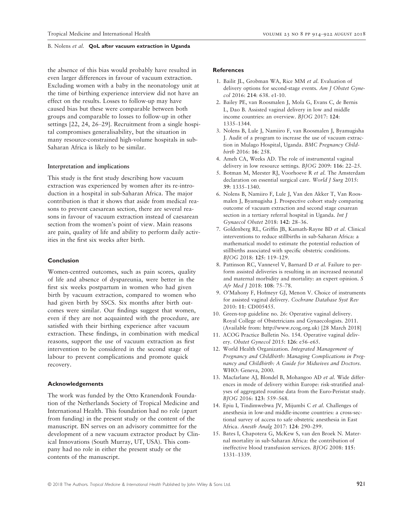the absence of this bias would probably have resulted in even larger differences in favour of vacuum extraction. Excluding women with a baby in the neonatology unit at the time of birthing experience interview did not have an effect on the results. Losses to follow-up may have caused bias but these were comparable between both groups and comparable to losses to follow-up in other settings [22, 24, 26–29]. Recruitment from a single hospital compromises generalisability, but the situation in many resource-constrained high-volume hospitals in sub-Saharan Africa is likely to be similar.

#### Interpretation and implications

This study is the first study describing how vacuum extraction was experienced by women after its re-introduction in a hospital in sub-Saharan Africa. The major contribution is that it shows that aside from medical reasons to prevent caesarean section, there are several reasons in favour of vacuum extraction instead of caesarean section from the women's point of view. Main reasons are pain, quality of life and ability to perform daily activities in the first six weeks after birth.

# Conclusion

Women-centred outcomes, such as pain scores, quality of life and absence of dyspareunia, were better in the first six weeks postpartum in women who had given birth by vacuum extraction, compared to women who had given birth by SSCS. Six months after birth outcomes were similar. Our findings suggest that women, even if they are not acquainted with the procedure, are satisfied with their birthing experience after vacuum extraction. These findings, in combination with medical reasons, support the use of vacuum extraction as first intervention to be considered in the second stage of labour to prevent complications and promote quick recovery.

#### Acknowledgements

The work was funded by the Otto Kranendonk Foundation of the Netherlands Society of Tropical Medicine and International Health. This foundation had no role (apart from funding) in the present study or the content of the manuscript. BN serves on an advisory committee for the development of a new vacuum extractor product by Clinical Innovations (South Murray, UT, USA). This company had no role in either the present study or the contents of the manuscript.

# References

- 1. Bailit JL, Grobman WA, Rice MM et al. Evaluation of delivery options for second-stage events. Am J Obstet Gynecol 2016: 214: 638. e1-10.
- 2. Bailey PE, van Roosmalen J, Mola G, Evans C, de Bernis L, Dao B. Assisted vaginal delivery in low and middle income countries: an overview. BJOG 2017: 124: 1335–1344.
- 3. Nolens B, Lule J, Namiiro F, van Roosmalen J, Byamugisha J. Audit of a program to increase the use of vacuum extraction in Mulago Hospital, Uganda. BMC Pregnancy Childbirth 2016: 16: 258.
- 4. Ameh CA, Weeks AD. The role of instrumental vaginal delivery in low resource settings. BJOG 2009: 116: 22–25.
- 5. Botman M, Meester RJ, Voorhoeve R et al. The Amsterdam declaration on essential surgical care. World J Surg 2015: 39: 1335–1340.
- 6. Nolens B, Namiiro F, Lule J, Van den Akker T, Van Roosmalen J, Byamugisha J. Prospective cohort study comparing outcome of vacuum extraction and second stage cesarean section in a tertiary referral hospital in Uganda. Int J Gynaecol Obstet 2018: 142: 28–36.
- 7. Goldenberg RL, Griffin JB, Kamath-Rayne BD et al. Clinical interventions to reduce stillbirths in sub-Saharan Africa: a mathematical model to estimate the potential reduction of stillbirths associated with specific obstetric conditions. BJOG 2018: 125: 119–129.
- 8. Pattinson RC, Vannevel V, Barnard D et al. Failure to perform assisted deliveries is resulting in an increased neonatal and maternal morbidity and mortality: an expert opinion. S Afr Med J 2018: 108: 75–78.
- 9. O'Mahony F, Hofmeyr GJ, Menon V. Choice of instruments for assisted vaginal delivery. Cochrane Database Syst Rev 2010: 11: CD005455.
- 10. Green-top guideline no. 26: Operative vaginal delivery. Royal College of Obstetricians and Gynaecologists. 2011. (Available from: [http://www.rcog.org.uk\)](http://www.rcog.org.uk) [28 March 2018]
- 11. ACOG Practice Bulletin No. 154. Operative vaginal delivery. Obstet Gynecol 2015: 126: e56–e65.
- 12. World Health Organization. Integrated Management of Pregnancy and Childbirth: Managing Complications in Pregnancy and Childbirth: A Guide for Midwives and Doctors. WHO: Geneva, 2000.
- 13. Macfarlane AJ, Blondel B, Mohangoo AD et al. Wide differences in mode of delivery within Europe: risk-stratified analyses of aggregated routine data from the Euro-Peristat study. BJOG 2016: 123: 559–568.
- 14. Epiu I, Tindimwebwa JV, Mijumbi C et al. Challenges of anesthesia in low-and middle-income countries: a cross-sectional survey of access to safe obstetric anesthesia in East Africa. Anesth Analg 2017: 124: 290–299.
- 15. Bates I, Chapotera G, McKew S, van den Broek N. Maternal mortality in sub-Saharan Africa: the contribution of ineffective blood transfusion services. BJOG 2008: 115: 1331–1339.